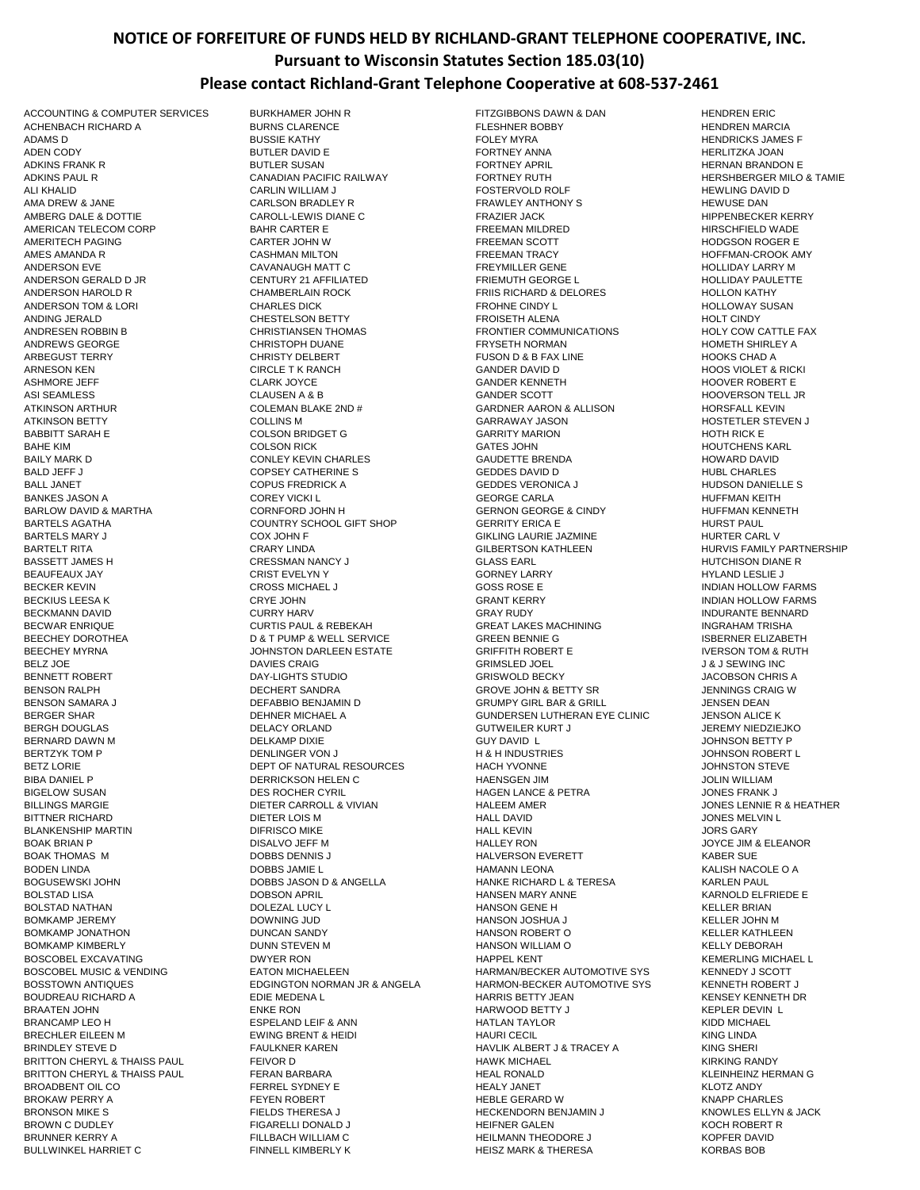## **NOTICE OF FORFEITURE OF FUNDS HELD BY RICHLAND-GRANT TELEPHONE COOPERATIVE, INC. Pursuant to Wisconsin Statutes Section 185.03(10) Please contact Richland-Grant Telephone Cooperative at 608-537-2461**

ANDING JERALD CHESTELSON BETTY FROISETH ALENA HOLT CINDY BARTELS MARY JUNISIAN SON JOHN FUNDAL SON SON THE GIKLING LAURIE JAZMINE HURTER COX JOHN FUNDAL SON SON THE GILBERTSON KATHLEEN BEHNER MICHAEL A GUNDERSEN LUTHERAN EYE CLINIC<br>DELACY ORLAND GUNDER GUTWEILER KURT J DOBBS JASON D & ANGELLA BRONSON MIKE S FIELDS THERESA J FIELDS THERESA J HECKENDORN BENJAMIN J

ACCOUNTING & COMPUTER SERVICES BURKHAMER JOHN R<br>ACHENBACH RICHARD A BURNS CLARENCE FITZGIBBONS DAWN & DAN HENDREN MARCIA ACHENBACH RICHARD A BURNS CLARENCE FLESHNER BOBBY HENDREN MARCIA ADAMS D BUSSIE KATHY FOLEY MYRA HENDRICKS JAMES F ADEN CODY BUTLER DAVID E FORTNEY ANNA HERLITZKA JOAN ADKINS FRANK RUNDER SUSAN FORTNEY APRIL HERNAN BRANDON ENGINE BUTLER SUSAN FORTNEY APRIL HERNAN BRANDON E ADKINS PAUL REANALL AND AN ADAIR CANADIAN PACIFIC RAILWAY AND REACH THAT THE RAILWAY THAT HERSHBERGER MILO & TAMIE<br>ALI KHALID HEWLING DAVID D ALI KHALID CARLIN WILLIAM J FOSTERVOLD ROLF HEWLING DAVID D AMA DREW & JANE CARLSON BRADLEY R FRAWLEY ANTHONY S HEWUSE DAN AMBERG DALE & DOTTIE GAROLL-LEWIS DIANE C FRAZIER JACK FRAGIER ACK HIPPENBECKER KERRY AMERICAN TELECOM CORP BAHR CARTER E FREEMAN MILDRED HIRSCHFIELD WADE AMERITECH PAGING CARTER JOHN W FREEMAN SCOTT THE HODGSON ROGER EXAMPLE HODGSON ROGER EXAMPLE THE SAME REEMAN SCOTT AMES AMANDA R GASHMAN MILTON FREEMAN TRACY THE HOFFMAN-CROOK AMY CASHMAN MILTON ANDERSON EVE CAVANAUGH MATT C FREYMILLER GENE HOLLIDAY LARRY M ANDERSON GERALD D JR FALL FRIEMUTH GEORGE LANDERSON GERALD DIR FRIEMUTH GEORGE LANDERSON GERALD HOLLIDAY PAULETTE ANDERSON HAROLD R<br>ANDERSON TOM & LORING THE CHARLES DICK THE READ FROM TROHNE CINDY LANDERSON TOM & LORING SUSAN ANDERSON TOM & LORI CHARLES DICK FROHNE CINDY L HOLLOWAY SUSAN ANDRESEN ROBBIN B CHRISTIANSEN THOMAS FRONTIER COMMUNICATIONS HOLY COW CATTLE FAX ANDREWS GEORGE CHRISTOPH DUANE FRYSETH NORMAN HOMETH SHIRLEY A ARBEGUST TERRY CHRISTY DELBERT FUSON D & B FAX LINE HOOKS CHAD A ARNESON KEN GANDER DAVID DER GANDER DAVID DER GANDER DAVID DES GANDER DAVID DES GANDER DAVID DES GANDER DAVID D ASHMORE JEFF CLARK JOYCE GANDER KENNETH HOOVER ROBERT E ASI SEAMLESS CLAUSEN A & B GANDER SCOTT HOOVERSON TELL JR ATKINSON ARTHUR COLEMAN BLAKE 2ND # GARDNER AARON & ALLISON HORSFALL KEVIN ATKINSON BETTY COLLINS M GARRAWAY JASON HOSTETLER STEVEN J BABBITT SARAH E GARAH E GOLSON BRIDGET GARAH TY MARION GARRITY MARION GARRITY MARION GARRITY MARION GARRITY MARION BAHE KIM GATES JOHN GATES JOHN GATES ON HOUTCHENS KARL GATES ON GATES JOHN GATES ON HOUTCHENS KARL BAILY MARK D CONLEY KEVIN CHARLES GAUDETTE BRENDA HOWARD DAVID BALD JEFF JUIT SOMETHERING STATE STATE OF STATE OF STATE STATE OF STATE STATE STATE OF STATE STATE STATE STATE<br>BALL JANET GENERAL BANNELLE STATE OF STATE OF STATE STATE STATE OF STATE STATE OF STATE STATE OF STATE STATE S BALL JANET<br>BALL JANET COREXIL COPUS FREDRICK A GEDDES VERONICA JANET HUDSON DANIEL<br>GEORGE CARLA HUEFMAN KEITH BANKES JASON A GEORGE COREY VICKI LAND GEORGE CARLA GEORGE CARLA GEORGE CARLA GEORGE CARLA GEORGE THE GEORGE T BARLOW DAVID & MARTHA CORNFORD JOHN H GERNON GEORGE & CINDY HUFFMAN KENNETH BARTELS AGATHA COUNTRY SCHOOL GIFT SHOP GERRITY ERICA E HURST PAUL SARTELT RITA CONSTRUCT OF THE GILBERTS ON A SERIES TO THE HURVIS FAMILY PARTNERS HIP<br>GILASS FARING HUTCHISON DIANE RITA CHARGES BASSETT JAMES H CRESSMAN NANCY J GLASS EARL HUTCHISON DIANE R BEAUFEAUX JAY CRIST EVELYN Y GORNEY LARRY HYLAND LESLIE J BECKER KEVIN CROSS MICHAEL J GOSS ROSE E INDIAN HOLLOW FARMS BECKIUS LEESA K CRYE JOHN GRANT KERRY INDIAN HOLLOW FARMS BECKMANN DAVID CURRY HARV GRAY RUDY INDURANTE BENNARD BECWAR ENRIQUE CURTIS PAUL & REBEKAH GREAT LAKES MACHINING INGRAHAM TRISHA BEECHEY DOROTHEA D & T PUMP & WELL SERVICE GREEN BENNIE G ISBERNER ELIZABETH BEECHEY MYRNA JOHNSTON DARLEEN ESTATE GRIFFITH ROBERT E IVERSON TOM & RUTH BELZ JOE DAVIES CRAIG GRIMSLED JOEL J & J SEWING INC BENNETT ROBERT DAY-LIGHTS STUDIO GRISWOLD BECKY JACOBSON CHRIS A BENSON RALPH DECHERT SANDRA GROVE JOHN & BETTY SR JENNINGS CRAIG W BENSON SAMARA JUNIS EN SOFFABBIO BENJAMIN DUN BENJAMIN DUN BENJAMIN DUN BENJAMIN DUN BENJAMIN DUN BENJAMIN DUN<br>DERGER SHAR GUNDER ANG DENGER ANG HANG GUNDERSEN LUTHERAN EYE CLINIC BENSON ALICE K BERGH DOUGLAS DELACY ORLAND GUTWEILER KURT J JEREMY NIEDZIEJKO BERNARD DAWN M DELKAMP DIXIE GUY DAVID L JOHNSON BETTY P BERTZYK TOM P DENLINGER VON J H & H INDUSTRIES JOHNSON ROBERT L BETZ LORIE DEPT OF NATURAL RESOURCES HACH YVONNE JOHNSTON STEVE BIBA DANIEL P DERRICKSON HELEN C HAENSGEN JIM JOLIN WILLIAM BIGELOW SUSAN DES ROCHER CYRIL HAGEN LANCE & PETRA JONES FRANK J BILLINGS MARGIE DIETER CARROLL & VIVIAN HALEEM AMER JONES LENNIE R & HEATHER BITTNER RICHARD DIETER LOIS M HALL DAVID JONES MELVIN L BLANKENSHIP MARTIN DIFRISCO MIKE HALL KEVIN JORS GARY BOAK BRIAN P DISALVO JEFF M HALLEY RON JOYCE JIM & ELEANOR BOAK THOMAS M DOBBS DENNIS J HALVERSON EVERETT KABER SUE BODEN LINDA DOBBS JAMIE L HAMANN LEONA KALISH NACOLE O A BOLSTAD LISA DOBSON APRIL HANSEN MARY ANNE KARNOLD ELFRIEDE E DOLEZAL LUCY LUCH NATHAN HANSON GENE H<br>BOWNING JUD CONNECTED HANSON JOSHUA JUNEAU HELLER JOHN M BOMKAMP JEREMY DOWNING JUD HANSON JOSHUA J KELLER JOHN M BOMKAMP JONATHON DUNCAN SANDY HANSON ROBERT O KELLER KATHLEEN BOMKAMP KIMBERLY DUNN STEVEN M HANSON WILLIAM O KELLY DEBORAH BOSCOBEL EXCAVATING DWYER RON HAPPEL KENT KEMERLING MICHAEL L BOSCOBEL MUSIC & VENDING FATON MICHAELEEN FANGELA FARMAN/BECKER AUTOMOTIVE SYS FARMAN/BECKER AUTOMOTIVE SYS KENNEDY J SCOTT BOSSTOWN ANTIQUES EDGINGTON NORMAN JR & ANGELA HARMON-BECKER AUTOMOTIVE SYS KENNETH ROBERT J<br>BOUDREAU RICHARD ANN ENGLAND EDIE MEDENA IN HARRIS BETTY JEAN HARRIS AND KENSEY KENNETH DR BOUDREAU RICHARD A EDIE MEDENA L HARRIS BETTY JEAN KENSEY KENNETH DR BRAATEN JOHN EN HARWOOD BETTY JAN HARWOOD BETTY JAN HARWOOD BETTY JAN HARWOOD BETTY JAN HARWOOD BETTY JAN HARWOOD BETTY JAN HARWOOD BETTY JAN HARWOOD BETTY JAN HARWOOD BETTY JAN HARWOOD BETTY JAN HARWOOD BETTY JAN HARWOOD BRANCAMP LEO H ESPELAND LEIF & ANN HATLAN TAYLOR HATLAN TAYLOR KIDD MICHAEL BRECHLER EILEEN MODER IN BRENT & HEIDING ENDER THEIDING BRENT AND HAURI CECIL THAURI CECIL THEIDING AND HAURI CECIL<br>BRINDLEY STEVE DONNER THAUL THE FAULKNER KAREN THEIDING HAV HAVLIK ALBERT J& TRACEY AN THEIDING SHERI HAVLIK ALBERT J & TRACEY A BRITTON CHERYL & THAISS PAUL FEIVOR D<br>BRITTON CHERYL & THAISS PAUL FERAN BARBARA FRAMENTAL HEAL RONALD FRAMENCE HAD HAVE INHEINZ HERMAN G BRITTON CHERYL & THAISS PAUL FERAN BARBARA FRAM BARBARA FRAM HEAL RONALD FRAME HEAL RONALD FRAME HEAL RONALD FRAME HERRY AND FRAME HERRY AND FRAME HEALY JANET FRAME HEALY JANET FRAME HEALY JANET FRAME HEALY JANET FRAME HEA BROADBENT OIL CO FERREL SYDNEY E HEALY JANET KLOTZ ANDY HEBLE GERARD W<br>HECKENDORN BENJAMIN JANNER HERRY KNOWLES ELLYN & JACK BROWN C DUDLEY FIGARELLI DONALD J HEIFNER GALEN KOCH ROBERT R BRUNNER KERRY A FILLBACH WILLIAM C FILLBACH WILLIAM C FILLBACH MEILMANN THEODORE J<br>BULLWINKEL HARRIET C FINNELL KIMBERLY K FINNELL KIMBERLY K HEISZ MARK & THERESA FINNEL KORBAS BOB HEISZ MARK & THERESA